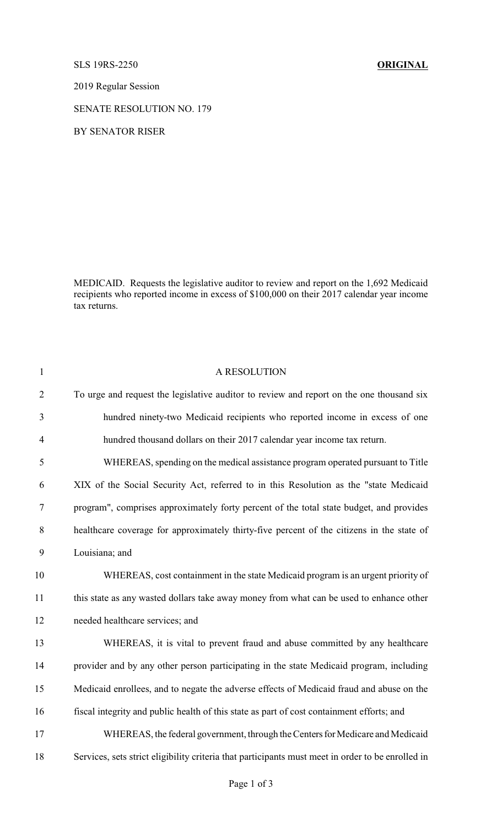SLS 19RS-2250 **ORIGINAL**

2019 Regular Session

SENATE RESOLUTION NO. 179

BY SENATOR RISER

MEDICAID. Requests the legislative auditor to review and report on the 1,692 Medicaid recipients who reported income in excess of \$100,000 on their 2017 calendar year income tax returns.

| $\mathbf{1}$   | A RESOLUTION                                                                                      |
|----------------|---------------------------------------------------------------------------------------------------|
| $\overline{2}$ | To urge and request the legislative auditor to review and report on the one thousand six          |
| 3              | hundred ninety-two Medicaid recipients who reported income in excess of one                       |
| $\overline{4}$ | hundred thousand dollars on their 2017 calendar year income tax return.                           |
| 5              | WHEREAS, spending on the medical assistance program operated pursuant to Title                    |
| 6              | XIX of the Social Security Act, referred to in this Resolution as the "state Medicaid             |
| $\tau$         | program", comprises approximately forty percent of the total state budget, and provides           |
| $8\,$          | healthcare coverage for approximately thirty-five percent of the citizens in the state of         |
| 9              | Louisiana; and                                                                                    |
| 10             | WHEREAS, cost containment in the state Medicaid program is an urgent priority of                  |
| 11             | this state as any wasted dollars take away money from what can be used to enhance other           |
| 12             | needed healthcare services; and                                                                   |
| 13             | WHEREAS, it is vital to prevent fraud and abuse committed by any healthcare                       |
| 14             | provider and by any other person participating in the state Medicaid program, including           |
| 15             | Medicaid enrollees, and to negate the adverse effects of Medicaid fraud and abuse on the          |
| 16             | fiscal integrity and public health of this state as part of cost containment efforts; and         |
| 17             | WHEREAS, the federal government, through the Centers for Medicare and Medicaid                    |
| 18             | Services, sets strict eligibility criteria that participants must meet in order to be enrolled in |
|                |                                                                                                   |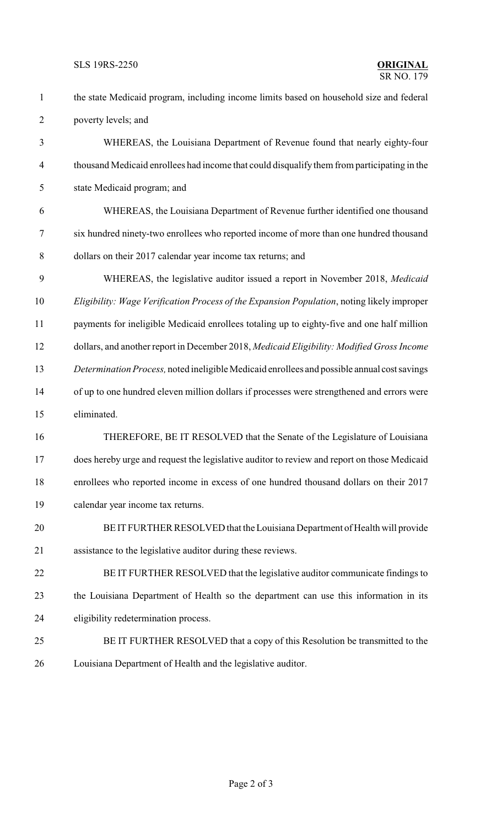SLS 19RS-2250 **ORIGINAL**

## $\overline{\text{SR NO}}$  179

 the state Medicaid program, including income limits based on household size and federal poverty levels; and

 WHEREAS, the Louisiana Department of Revenue found that nearly eighty-four thousand Medicaid enrollees had income that could disqualify them from participating in the state Medicaid program; and

 WHEREAS, the Louisiana Department of Revenue further identified one thousand six hundred ninety-two enrollees who reported income of more than one hundred thousand dollars on their 2017 calendar year income tax returns; and

 WHEREAS, the legislative auditor issued a report in November 2018, *Medicaid Eligibility: Wage Verification Process of the Expansion Population*, noting likely improper payments for ineligible Medicaid enrollees totaling up to eighty-five and one half million dollars, and another report in December 2018, *Medicaid Eligibility: Modified Gross Income Determination Process,* noted ineligible Medicaid enrollees and possible annual costsavings of up to one hundred eleven million dollars if processes were strengthened and errors were eliminated.

 THEREFORE, BE IT RESOLVED that the Senate of the Legislature of Louisiana does hereby urge and request the legislative auditor to review and report on those Medicaid enrollees who reported income in excess of one hundred thousand dollars on their 2017 calendar year income tax returns.

 BE IT FURTHER RESOLVED that the Louisiana Department of Health will provide assistance to the legislative auditor during these reviews.

 BE IT FURTHER RESOLVED that the legislative auditor communicate findings to the Louisiana Department of Health so the department can use this information in its eligibility redetermination process.

- BE IT FURTHER RESOLVED that a copy of this Resolution be transmitted to the
- Louisiana Department of Health and the legislative auditor.